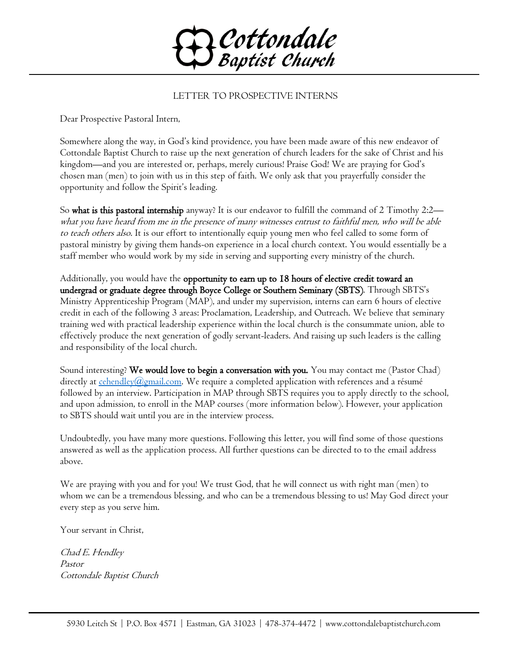

## LETTER TO PROSPECTIVE INTERNS

Dear Prospective Pastoral Intern,

Somewhere along the way, in God's kind providence, you have been made aware of this new endeavor of Cottondale Baptist Church to raise up the next generation of church leaders for the sake of Christ and his kingdom—and you are interested or, perhaps, merely curious! Praise God! We are praying for God's chosen man (men) to join with us in this step of faith. We only ask that you prayerfully consider the opportunity and follow the Spirit's leading.

So what is this pastoral internship anyway? It is our endeavor to fulfill the command of 2 Timothy 2:2 what you have heard from me in the presence of many witnesses entrust to faithful men, who will be able to teach others also. It is our effort to intentionally equip young men who feel called to some form of pastoral ministry by giving them hands-on experience in a local church context. You would essentially be a staff member who would work by my side in serving and supporting every ministry of the church.

Additionally, you would have the opportunity to earn up to 18 hours of elective credit toward an undergrad or graduate degree through Boyce College or Southern Seminary (SBTS). Through SBTS's Ministry Apprenticeship Program (MAP), and under my supervision, interns can earn 6 hours of elective credit in each of the following 3 areas: Proclamation, Leadership, and Outreach. We believe that seminary training wed with practical leadership experience within the local church is the consummate union, able to effectively produce the next generation of godly servant-leaders. And raising up such leaders is the calling and responsibility of the local church.

Sound interesting? We would love to begin a conversation with you. You may contact me (Pastor Chad) directly at  $\frac{\text{echendley}(a\text{gmail.com}}{\text{centy}}$ . We require a completed application with references and a résumé followed by an interview. Participation in MAP through SBTS requires you to apply directly to the school, and upon admission, to enroll in the MAP courses (more information below). However, your application to SBTS should wait until you are in the interview process.

Undoubtedly, you have many more questions. Following this letter, you will find some of those questions answered as well as the application process. All further questions can be directed to to the email address above.

We are praying with you and for you! We trust God, that he will connect us with right man (men) to whom we can be a tremendous blessing, and who can be a tremendous blessing to us! May God direct your every step as you serve him.

Your servant in Christ,

Chad E. Hendley Pastor Cottondale Baptist Church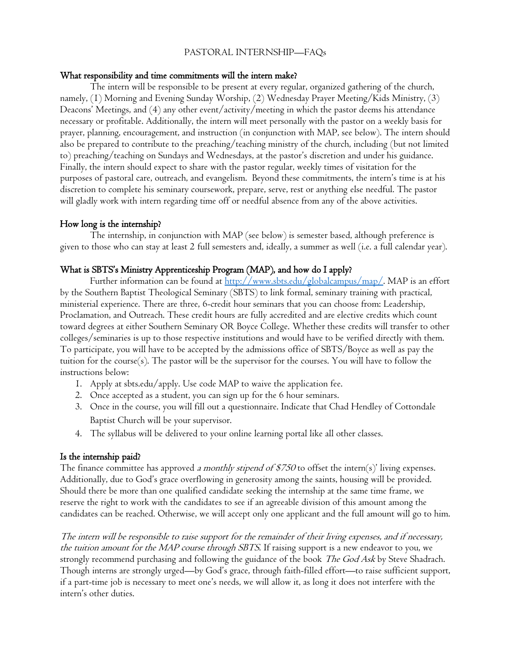## PASTORAL INTERNSHIP—FAQs

#### What responsibility and time commitments will the intern make?

The intern will be responsible to be present at every regular, organized gathering of the church, namely, (1) Morning and Evening Sunday Worship, (2) Wednesday Prayer Meeting/Kids Ministry, (3) Deacons' Meetings, and (4) any other event/activity/meeting in which the pastor deems his attendance necessary or profitable. Additionally, the intern will meet personally with the pastor on a weekly basis for prayer, planning, encouragement, and instruction (in conjunction with MAP, see below). The intern should also be prepared to contribute to the preaching/teaching ministry of the church, including (but not limited to) preaching/teaching on Sundays and Wednesdays, at the pastor's discretion and under his guidance. Finally, the intern should expect to share with the pastor regular, weekly times of visitation for the purposes of pastoral care, outreach, and evangelism. Beyond these commitments, the intern's time is at his discretion to complete his seminary coursework, prepare, serve, rest or anything else needful. The pastor will gladly work with intern regarding time off or needful absence from any of the above activities.

### How long is the internship?

The internship, in conjunction with MAP (see below) is semester based, although preference is given to those who can stay at least 2 full semesters and, ideally, a summer as well (i.e. a full calendar year).

#### What is SBTS's Ministry Apprenticeship Program (MAP), and how do I apply?

Further information can be found at [http://www.sbts.edu/globalcampus/map/.](http://www.sbts.edu/globalcampus/map/) MAP is an effort by the Southern Baptist Theological Seminary (SBTS) to link formal, seminary training with practical, ministerial experience. There are three, 6-credit hour seminars that you can choose from: Leadership, Proclamation, and Outreach. These credit hours are fully accredited and are elective credits which count toward degrees at either Southern Seminary OR Boyce College. Whether these credits will transfer to other colleges/seminaries is up to those respective institutions and would have to be verified directly with them. To participate, you will have to be accepted by the admissions office of SBTS/Boyce as well as pay the tuition for the course(s). The pastor will be the supervisor for the courses. You will have to follow the instructions below:

- 1. Apply at sbts.edu/apply. Use code MAP to waive the application fee.
- 2. Once accepted as a student, you can sign up for the 6 hour seminars.
- 3. Once in the course, you will fill out a questionnaire. Indicate that Chad Hendley of Cottondale Baptist Church will be your supervisor.
- 4. The syllabus will be delivered to your online learning portal like all other classes.

#### Is the internship paid?

The finance committee has approved a monthly stipend of \$750 to offset the intern(s)' living expenses. Additionally, due to God's grace overflowing in generosity among the saints, housing will be provided. Should there be more than one qualified candidate seeking the internship at the same time frame, we reserve the right to work with the candidates to see if an agreeable division of this amount among the candidates can be reached. Otherwise, we will accept only one applicant and the full amount will go to him.

The intern will be responsible to raise support for the remainder of their living expenses, and if necessary, the tuition amount for the MAP course through SBTS. If raising support is a new endeavor to you, we strongly recommend purchasing and following the guidance of the book The God Ask by Steve Shadrach. Though interns are strongly urged—by God's grace, through faith-filled effort—to raise sufficient support, if a part-time job is necessary to meet one's needs, we will allow it, as long it does not interfere with the intern's other duties.